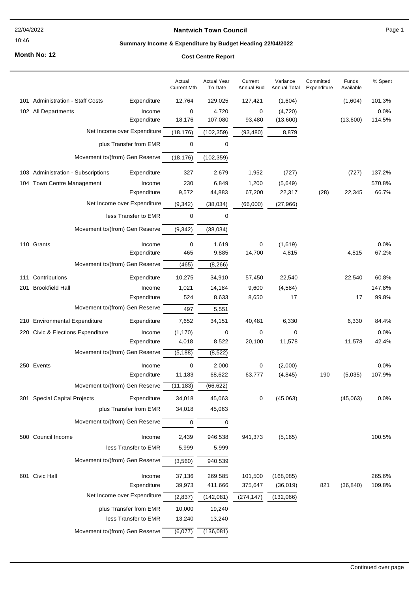#### 22/04/2022

#### 10:46

### **Nantwich Town Council**

Page 1

# **Summary Income & Expenditure by Budget Heading 22/04/2022**

**Month No: 12**

### **Cost Centre Report**

|                                                   | Actual<br><b>Current Mth</b> | <b>Actual Year</b><br>To Date | Current<br><b>Annual Bud</b> | Variance<br><b>Annual Total</b> | Committed<br>Expenditure | Funds<br>Available | % Spent |
|---------------------------------------------------|------------------------------|-------------------------------|------------------------------|---------------------------------|--------------------------|--------------------|---------|
| 101 Administration - Staff Costs<br>Expenditure   | 12,764                       | 129,025                       | 127,421                      | (1,604)                         |                          | (1,604)            | 101.3%  |
| 102 All Departments<br>Income                     | 0                            | 4,720                         | 0                            | (4,720)                         |                          |                    | 0.0%    |
| Expenditure                                       | 18,176                       | 107,080                       | 93,480                       | (13,600)                        |                          | (13,600)           | 114.5%  |
| Net Income over Expenditure                       | (18, 176)                    | (102, 359)                    | (93, 480)                    | 8,879                           |                          |                    |         |
| plus Transfer from EMR                            | 0                            | 0                             |                              |                                 |                          |                    |         |
| Movement to/(from) Gen Reserve                    | (18, 176)                    | (102, 359)                    |                              |                                 |                          |                    |         |
| 103 Administration - Subscriptions<br>Expenditure | 327                          | 2,679                         | 1,952                        | (727)                           |                          | (727)              | 137.2%  |
| 104 Town Centre Management<br>Income              | 230                          | 6,849                         | 1,200                        | (5,649)                         |                          |                    | 570.8%  |
| Expenditure                                       | 9,572                        | 44,883                        | 67,200                       | 22,317                          | (28)                     | 22,345             | 66.7%   |
| Net Income over Expenditure                       | (9, 342)                     | (38, 034)                     | (66,000)                     | (27, 966)                       |                          |                    |         |
| less Transfer to EMR                              | 0                            | 0                             |                              |                                 |                          |                    |         |
| Movement to/(from) Gen Reserve                    | (9, 342)                     | (38, 034)                     |                              |                                 |                          |                    |         |
| 110 Grants<br>Income                              | 0                            | 1,619                         | 0                            | (1,619)                         |                          |                    | 0.0%    |
| Expenditure                                       | 465                          | 9,885                         | 14,700                       | 4,815                           |                          | 4,815              | 67.2%   |
| Movement to/(from) Gen Reserve                    | (465)                        | (8, 266)                      |                              |                                 |                          |                    |         |
| Contributions<br>Expenditure<br>111               | 10,275                       | 34,910                        | 57,450                       | 22,540                          |                          | 22,540             | 60.8%   |
| <b>Brookfield Hall</b><br>Income<br>201           | 1,021                        | 14,184                        | 9,600                        | (4, 584)                        |                          |                    | 147.8%  |
| Expenditure                                       | 524                          | 8,633                         | 8,650                        | 17                              |                          | 17                 | 99.8%   |
| Movement to/(from) Gen Reserve                    | 497                          | 5,551                         |                              |                                 |                          |                    |         |
| 210 Environmental Expenditure<br>Expenditure      | 7,652                        | 34,151                        | 40,481                       | 6,330                           |                          | 6,330              | 84.4%   |
| 220 Civic & Elections Expenditure<br>Income       | (1, 170)                     | 0                             | 0                            | 0                               |                          |                    | $0.0\%$ |
| Expenditure                                       | 4,018                        | 8,522                         | 20,100                       | 11,578                          |                          | 11,578             | 42.4%   |
| Movement to/(from) Gen Reserve                    | (5, 188)                     | (8, 522)                      |                              |                                 |                          |                    |         |
| 250 Events<br>Income                              | 0                            | 2,000                         | 0                            | (2,000)                         |                          |                    | 0.0%    |
| Expenditure                                       | 11,183                       | 68,622                        | 63,777                       | (4, 845)                        | 190                      | (5,035)            | 107.9%  |
| Movement to/(from) Gen Reserve                    | (11, 183)                    | (66, 622)                     |                              |                                 |                          |                    |         |
| Expenditure<br>301 Special Capital Projects       | 34,018                       | 45,063                        | 0                            | (45,063)                        |                          | (45,063)           | 0.0%    |
| plus Transfer from EMR                            | 34,018                       | 45,063                        |                              |                                 |                          |                    |         |
| Movement to/(from) Gen Reserve                    | 0                            | 0                             |                              |                                 |                          |                    |         |
| 500 Council Income<br>Income                      | 2,439                        | 946,538                       | 941,373                      | (5, 165)                        |                          |                    | 100.5%  |
| less Transfer to EMR                              | 5,999                        | 5,999                         |                              |                                 |                          |                    |         |
| Movement to/(from) Gen Reserve                    | (3, 560)                     | 940,539                       |                              |                                 |                          |                    |         |
| 601 Civic Hall<br>Income                          | 37,136                       | 269,585                       | 101,500                      | (168, 085)                      |                          |                    | 265.6%  |
| Expenditure                                       | 39,973                       | 411,666                       | 375,647                      | (36,019)                        | 821                      | (36, 840)          | 109.8%  |
| Net Income over Expenditure                       | (2, 837)                     | (142, 081)                    | (274, 147)                   | (132,066)                       |                          |                    |         |
| plus Transfer from EMR                            | 10,000                       | 19,240                        |                              |                                 |                          |                    |         |
| less Transfer to EMR                              | 13,240                       | 13,240                        |                              |                                 |                          |                    |         |
| Movement to/(from) Gen Reserve                    | (6,077)                      | (136, 081)                    |                              |                                 |                          |                    |         |